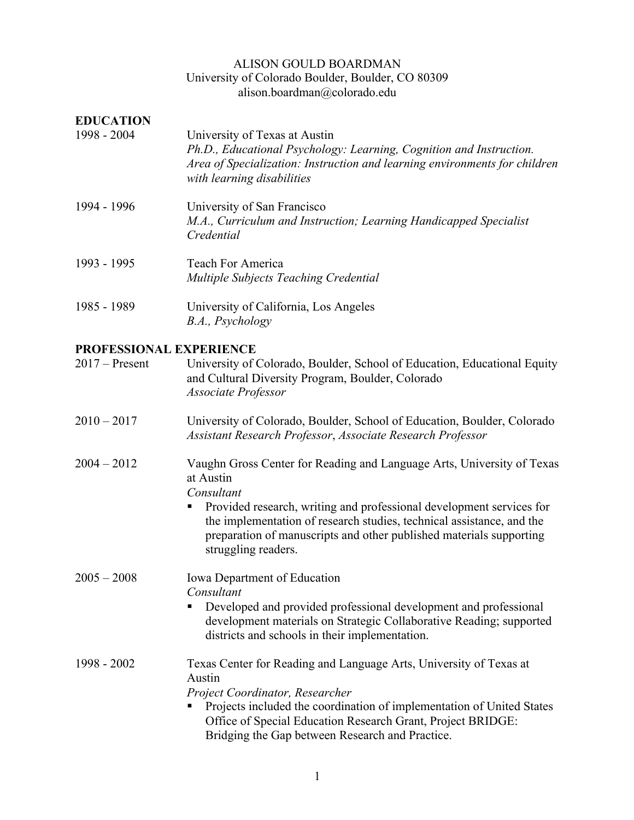### ALISON GOULD BOARDMAN University of Colorado Boulder, Boulder, CO 80309 alison.boardman@colorado.edu

| <b>EDUCATION</b><br>1998 - 2004 | University of Texas at Austin<br>Ph.D., Educational Psychology: Learning, Cognition and Instruction.<br>Area of Specialization: Instruction and learning environments for children<br>with learning disabilities |
|---------------------------------|------------------------------------------------------------------------------------------------------------------------------------------------------------------------------------------------------------------|
| 1994 - 1996                     | University of San Francisco<br>M.A., Curriculum and Instruction; Learning Handicapped Specialist<br>Credential                                                                                                   |
| 1993 - 1995                     | Teach For America<br>Multiple Subjects Teaching Credential                                                                                                                                                       |
| 1985 - 1989                     | University of California, Los Angeles<br>B.A., Psychology                                                                                                                                                        |

# **PROFESSIONAL EXPERIENCE**

| $2017$ – Present | University of Colorado, Boulder, School of Education, Educational Equity |
|------------------|--------------------------------------------------------------------------|
|                  | and Cultural Diversity Program, Boulder, Colorado                        |
|                  | <i>Associate Professor</i>                                               |

- 2010 2017 University of Colorado, Boulder, School of Education, Boulder, Colorado *Assistant Research Professor*, *Associate Research Professor*
- 2004 2012 Vaughn Gross Center for Reading and Language Arts, University of Texas at Austin

*Consultant*

■ Provided research, writing and professional development services for the implementation of research studies, technical assistance, and the preparation of manuscripts and other published materials supporting struggling readers.

2005 – 2008 Iowa Department of Education *Consultant*

> ■ Developed and provided professional development and professional development materials on Strategic Collaborative Reading; supported districts and schools in their implementation.

1998 - 2002 Texas Center for Reading and Language Arts, University of Texas at Austin *Project Coordinator, Researcher*

■ Projects included the coordination of implementation of United States Office of Special Education Research Grant, Project BRIDGE: Bridging the Gap between Research and Practice.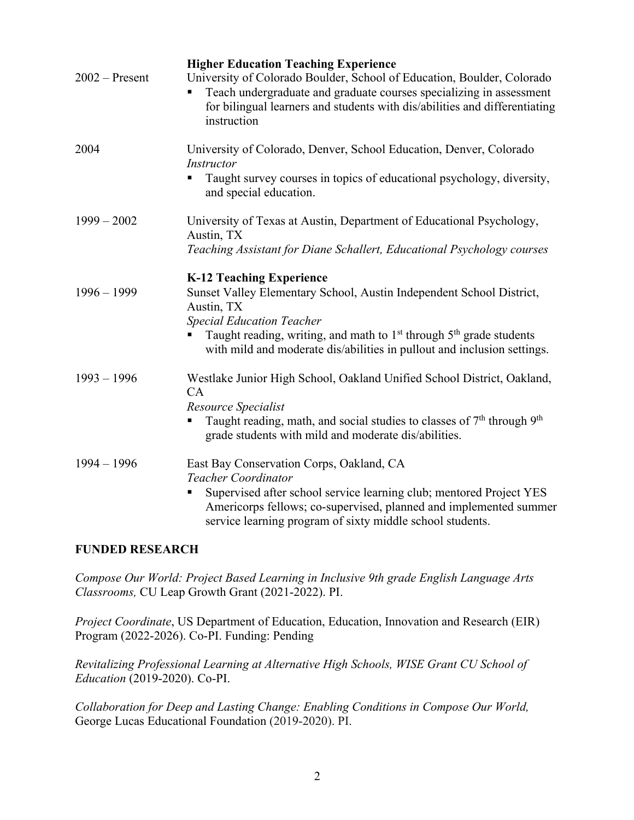| $2002$ – Present | <b>Higher Education Teaching Experience</b><br>University of Colorado Boulder, School of Education, Boulder, Colorado<br>Teach undergraduate and graduate courses specializing in assessment<br>for bilingual learners and students with dis/abilities and differentiating<br>instruction                                           |
|------------------|-------------------------------------------------------------------------------------------------------------------------------------------------------------------------------------------------------------------------------------------------------------------------------------------------------------------------------------|
| 2004             | University of Colorado, Denver, School Education, Denver, Colorado<br><i>Instructor</i><br>Taught survey courses in topics of educational psychology, diversity,<br>٠<br>and special education.                                                                                                                                     |
| $1999 - 2002$    | University of Texas at Austin, Department of Educational Psychology,<br>Austin, TX<br>Teaching Assistant for Diane Schallert, Educational Psychology courses                                                                                                                                                                        |
| $1996 - 1999$    | <b>K-12 Teaching Experience</b><br>Sunset Valley Elementary School, Austin Independent School District,<br>Austin, TX<br><b>Special Education Teacher</b><br>Taught reading, writing, and math to 1 <sup>st</sup> through 5 <sup>th</sup> grade students<br>with mild and moderate dis/abilities in pullout and inclusion settings. |
| $1993 - 1996$    | Westlake Junior High School, Oakland Unified School District, Oakland,<br>CA<br>Resource Specialist<br>Taught reading, math, and social studies to classes of $7th$ through $9th$<br>п<br>grade students with mild and moderate dis/abilities.                                                                                      |
| $1994 - 1996$    | East Bay Conservation Corps, Oakland, CA<br><b>Teacher Coordinator</b><br>Supervised after school service learning club; mentored Project YES<br>Americorps fellows; co-supervised, planned and implemented summer<br>service learning program of sixty middle school students.                                                     |

# **FUNDED RESEARCH**

*Compose Our World: Project Based Learning in Inclusive 9th grade English Language Arts Classrooms,* CU Leap Growth Grant (2021-2022). PI.

*Project Coordinate*, US Department of Education, Education, Innovation and Research (EIR) Program (2022-2026). Co-PI. Funding: Pending

*Revitalizing Professional Learning at Alternative High Schools, WISE Grant CU School of Education* (2019-2020). Co-PI.

*Collaboration for Deep and Lasting Change: Enabling Conditions in Compose Our World,* George Lucas Educational Foundation (2019-2020). PI.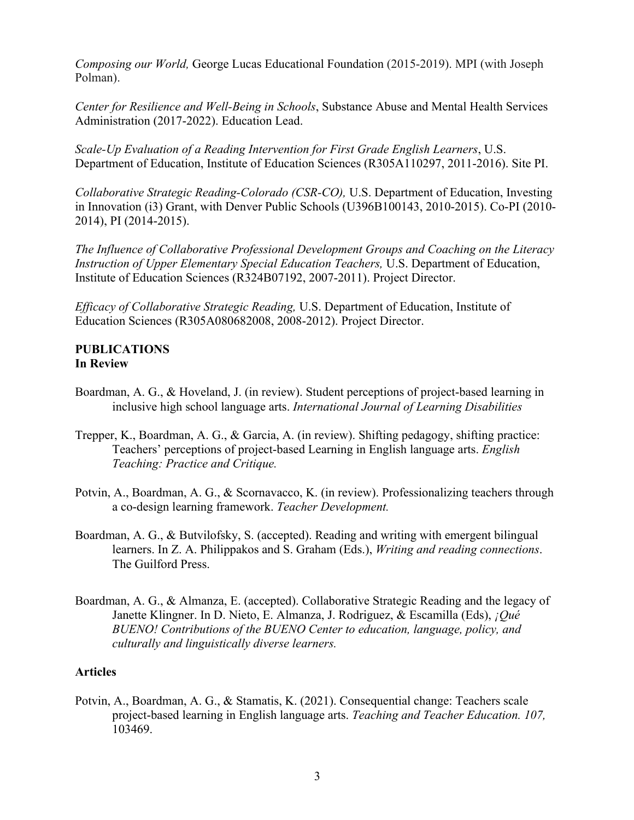*Composing our World,* George Lucas Educational Foundation (2015-2019). MPI (with Joseph Polman).

*Center for Resilience and Well-Being in Schools*, Substance Abuse and Mental Health Services Administration (2017-2022). Education Lead.

*Scale-Up Evaluation of a Reading Intervention for First Grade English Learners*, U.S. Department of Education, Institute of Education Sciences (R305A110297, 2011-2016). Site PI.

*Collaborative Strategic Reading-Colorado (CSR-CO),* U.S. Department of Education, Investing in Innovation (i3) Grant, with Denver Public Schools (U396B100143, 2010-2015). Co-PI (2010- 2014), PI (2014-2015).

*The Influence of Collaborative Professional Development Groups and Coaching on the Literacy Instruction of Upper Elementary Special Education Teachers,* U.S. Department of Education, Institute of Education Sciences (R324B07192, 2007-2011). Project Director.

*Efficacy of Collaborative Strategic Reading,* U.S. Department of Education, Institute of Education Sciences (R305A080682008, 2008-2012). Project Director.

### **PUBLICATIONS In Review**

- Boardman, A. G., & Hoveland, J. (in review). Student perceptions of project-based learning in inclusive high school language arts. *International Journal of Learning Disabilities*
- Trepper, K., Boardman, A. G., & Garcia, A. (in review). Shifting pedagogy, shifting practice: Teachers' perceptions of project-based Learning in English language arts. *English Teaching: Practice and Critique.*
- Potvin, A., Boardman, A. G., & Scornavacco, K. (in review). Professionalizing teachers through a co-design learning framework. *Teacher Development.*
- Boardman, A. G., & Butvilofsky, S. (accepted). Reading and writing with emergent bilingual learners. In Z. A. Philippakos and S. Graham (Eds.), *Writing and reading connections*. The Guilford Press.
- Boardman, A. G., & Almanza, E. (accepted). Collaborative Strategic Reading and the legacy of Janette Klingner. In D. Nieto, E. Almanza, J. Rodriguez, & Escamilla (Eds), *¡Qué BUENO! Contributions of the BUENO Center to education, language, policy, and culturally and linguistically diverse learners.*

# **Articles**

Potvin, A., Boardman, A. G., & Stamatis, K. (2021). Consequential change: Teachers scale project-based learning in English language arts. *Teaching and Teacher Education. 107,*  103469.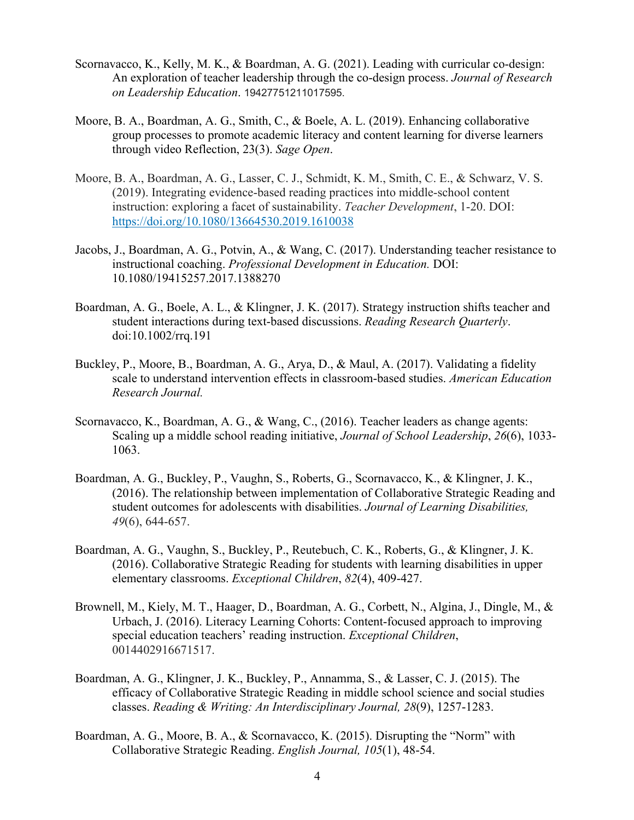- Scornavacco, K., Kelly, M. K., & Boardman, A. G. (2021). Leading with curricular co-design: An exploration of teacher leadership through the co-design process. *Journal of Research on Leadership Education*. 19427751211017595.
- Moore, B. A., Boardman, A. G., Smith, C., & Boele, A. L. (2019). Enhancing collaborative group processes to promote academic literacy and content learning for diverse learners through video Reflection, 23(3). *Sage Open*.
- Moore, B. A., Boardman, A. G., Lasser, C. J., Schmidt, K. M., Smith, C. E., & Schwarz, V. S. (2019). Integrating evidence-based reading practices into middle-school content instruction: exploring a facet of sustainability. *Teacher Development*, 1-20. DOI: https://doi.org/10.1080/13664530.2019.1610038
- Jacobs, J., Boardman, A. G., Potvin, A., & Wang, C. (2017). Understanding teacher resistance to instructional coaching. *Professional Development in Education.* DOI: 10.1080/19415257.2017.1388270
- Boardman, A. G., Boele, A. L., & Klingner, J. K. (2017). Strategy instruction shifts teacher and student interactions during text-based discussions. *Reading Research Quarterly*. doi:10.1002/rrq.191
- Buckley, P., Moore, B., Boardman, A. G., Arya, D., & Maul, A. (2017). Validating a fidelity scale to understand intervention effects in classroom-based studies. *American Education Research Journal.*
- Scornavacco, K., Boardman, A. G., & Wang, C., (2016). Teacher leaders as change agents: Scaling up a middle school reading initiative, *Journal of School Leadership*, *26*(6), 1033- 1063.
- Boardman, A. G., Buckley, P., Vaughn, S., Roberts, G., Scornavacco, K., & Klingner, J. K., (2016). The relationship between implementation of Collaborative Strategic Reading and student outcomes for adolescents with disabilities. *Journal of Learning Disabilities, 49*(6), 644-657.
- Boardman, A. G., Vaughn, S., Buckley, P., Reutebuch, C. K., Roberts, G., & Klingner, J. K. (2016). Collaborative Strategic Reading for students with learning disabilities in upper elementary classrooms. *Exceptional Children*, *82*(4), 409-427.
- Brownell, M., Kiely, M. T., Haager, D., Boardman, A. G., Corbett, N., Algina, J., Dingle, M., & Urbach, J. (2016). Literacy Learning Cohorts: Content-focused approach to improving special education teachers' reading instruction. *Exceptional Children*, 0014402916671517.
- Boardman, A. G., Klingner, J. K., Buckley, P., Annamma, S., & Lasser, C. J. (2015). The efficacy of Collaborative Strategic Reading in middle school science and social studies classes. *Reading & Writing: An Interdisciplinary Journal, 28*(9), 1257-1283.
- Boardman, A. G., Moore, B. A., & Scornavacco, K. (2015). Disrupting the "Norm" with Collaborative Strategic Reading. *English Journal, 105*(1), 48-54.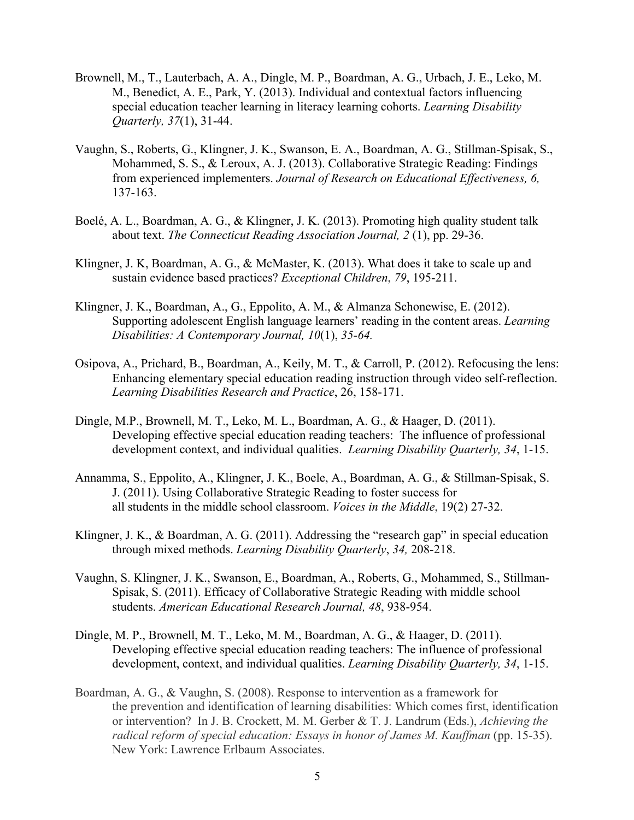- Brownell, M., T., Lauterbach, A. A., Dingle, M. P., Boardman, A. G., Urbach, J. E., Leko, M. M., Benedict, A. E., Park, Y. (2013). Individual and contextual factors influencing special education teacher learning in literacy learning cohorts. *Learning Disability Quarterly, 37*(1), 31-44.
- Vaughn, S., Roberts, G., Klingner, J. K., Swanson, E. A., Boardman, A. G., Stillman-Spisak, S., Mohammed, S. S., & Leroux, A. J. (2013). Collaborative Strategic Reading: Findings from experienced implementers. *Journal of Research on Educational Effectiveness, 6,* 137-163.
- Boelé, A. L., Boardman, A. G., & Klingner, J. K. (2013). Promoting high quality student talk about text. *The Connecticut Reading Association Journal, 2* (1), pp. 29-36.
- Klingner, J. K, Boardman, A. G., & McMaster, K. (2013). What does it take to scale up and sustain evidence based practices? *Exceptional Children*, *79*, 195-211.
- Klingner, J. K., Boardman, A., G., Eppolito, A. M., & Almanza Schonewise, E. (2012). Supporting adolescent English language learners' reading in the content areas. *Learning Disabilities: A Contemporary Journal, 10*(1), *35-64.*
- Osipova, A., Prichard, B., Boardman, A., Keily, M. T., & Carroll, P. (2012). Refocusing the lens: Enhancing elementary special education reading instruction through video self-reflection. *Learning Disabilities Research and Practice*, 26, 158-171.
- Dingle, M.P., Brownell, M. T., Leko, M. L., Boardman, A. G., & Haager, D. (2011). Developing effective special education reading teachers: The influence of professional development context, and individual qualities. *Learning Disability Quarterly, 34*, 1-15.
- Annamma, S., Eppolito, A., Klingner, J. K., Boele, A., Boardman, A. G., & Stillman-Spisak, S. J. (2011). Using Collaborative Strategic Reading to foster success for all students in the middle school classroom. *Voices in the Middle*, 19(2) 27-32.
- Klingner, J. K., & Boardman, A. G. (2011). Addressing the "research gap" in special education through mixed methods. *Learning Disability Quarterly*, *34,* 208-218.
- Vaughn, S. Klingner, J. K., Swanson, E., Boardman, A., Roberts, G., Mohammed, S., Stillman-Spisak, S. (2011). Efficacy of Collaborative Strategic Reading with middle school students. *American Educational Research Journal, 48*, 938-954.
- Dingle, M. P., Brownell, M. T., Leko, M. M., Boardman, A. G., & Haager, D. (2011). Developing effective special education reading teachers: The influence of professional development, context, and individual qualities. *Learning Disability Quarterly, 34*, 1-15.
- Boardman, A. G., & Vaughn, S. (2008). Response to intervention as a framework for the prevention and identification of learning disabilities: Which comes first, identification or intervention? In J. B. Crockett, M. M. Gerber & T. J. Landrum (Eds.), *Achieving the radical reform of special education: Essays in honor of James M. Kauffman* (pp. 15-35). New York: Lawrence Erlbaum Associates.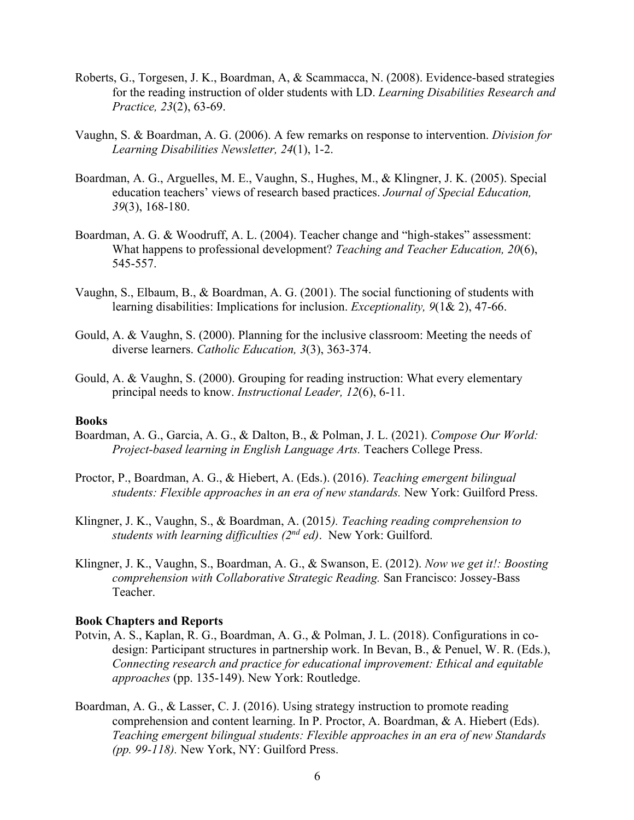- Roberts, G., Torgesen, J. K., Boardman, A, & Scammacca, N. (2008). Evidence-based strategies for the reading instruction of older students with LD. *Learning Disabilities Research and Practice, 23*(2), 63-69.
- Vaughn, S. & Boardman, A. G. (2006). A few remarks on response to intervention. *Division for Learning Disabilities Newsletter, 24*(1), 1-2.
- Boardman, A. G., Arguelles, M. E., Vaughn, S., Hughes, M., & Klingner, J. K. (2005). Special education teachers' views of research based practices. *Journal of Special Education, 39*(3), 168-180.
- Boardman, A. G. & Woodruff, A. L. (2004). Teacher change and "high-stakes" assessment: What happens to professional development? *Teaching and Teacher Education, 20*(6), 545-557.
- Vaughn, S., Elbaum, B., & Boardman, A. G. (2001). The social functioning of students with learning disabilities: Implications for inclusion. *Exceptionality, 9*(1& 2), 47-66.
- Gould, A. & Vaughn, S. (2000). Planning for the inclusive classroom: Meeting the needs of diverse learners. *Catholic Education, 3*(3), 363-374.
- Gould, A. & Vaughn, S. (2000). Grouping for reading instruction: What every elementary principal needs to know. *Instructional Leader, 12*(6), 6-11.

#### **Books**

- Boardman, A. G., Garcia, A. G., & Dalton, B., & Polman, J. L. (2021). *Compose Our World: Project-based learning in English Language Arts.* Teachers College Press.
- Proctor, P., Boardman, A. G., & Hiebert, A. (Eds.). (2016). *Teaching emergent bilingual students: Flexible approaches in an era of new standards.* New York: Guilford Press.
- Klingner, J. K., Vaughn, S., & Boardman, A. (2015*). Teaching reading comprehension to students with learning difficulties (2nd ed)*. New York: Guilford.
- Klingner, J. K., Vaughn, S., Boardman, A. G., & Swanson, E. (2012). *Now we get it!: Boosting comprehension with Collaborative Strategic Reading.* San Francisco: Jossey-Bass Teacher.

#### **Book Chapters and Reports**

- Potvin, A. S., Kaplan, R. G., Boardman, A. G., & Polman, J. L. (2018). Configurations in codesign: Participant structures in partnership work. In Bevan, B., & Penuel, W. R. (Eds.), *Connecting research and practice for educational improvement: Ethical and equitable approaches* (pp. 135-149). New York: Routledge.
- Boardman, A. G., & Lasser, C. J. (2016). Using strategy instruction to promote reading comprehension and content learning. In P. Proctor, A. Boardman, & A. Hiebert (Eds). *Teaching emergent bilingual students: Flexible approaches in an era of new Standards (pp. 99-118).* New York, NY: Guilford Press.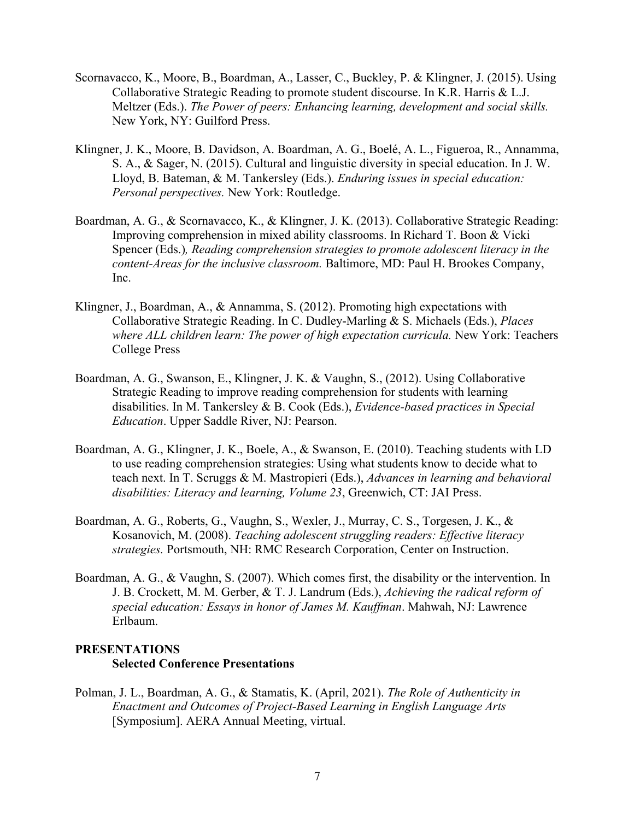- Scornavacco, K., Moore, B., Boardman, A., Lasser, C., Buckley, P. & Klingner, J. (2015). Using Collaborative Strategic Reading to promote student discourse. In K.R. Harris & L.J. Meltzer (Eds.). *The Power of peers: Enhancing learning, development and social skills.*  New York, NY: Guilford Press.
- Klingner, J. K., Moore, B. Davidson, A. Boardman, A. G., Boelé, A. L., Figueroa, R., Annamma, S. A., & Sager, N. (2015). Cultural and linguistic diversity in special education. In J. W. Lloyd, B. Bateman, & M. Tankersley (Eds.). *Enduring issues in special education: Personal perspectives.* New York: Routledge.
- Boardman, A. G., & Scornavacco, K., & Klingner, J. K. (2013). Collaborative Strategic Reading: Improving comprehension in mixed ability classrooms. In Richard T. Boon & Vicki Spencer (Eds.)*, Reading comprehension strategies to promote adolescent literacy in the content-Areas for the inclusive classroom.* Baltimore, MD: Paul H. Brookes Company, Inc.
- Klingner, J., Boardman, A., & Annamma, S. (2012). Promoting high expectations with Collaborative Strategic Reading. In C. Dudley-Marling & S. Michaels (Eds.), *Places where ALL children learn: The power of high expectation curricula.* New York: Teachers College Press
- Boardman, A. G., Swanson, E., Klingner, J. K. & Vaughn, S., (2012). Using Collaborative Strategic Reading to improve reading comprehension for students with learning disabilities. In M. Tankersley & B. Cook (Eds.), *Evidence-based practices in Special Education*. Upper Saddle River, NJ: Pearson.
- Boardman, A. G., Klingner, J. K., Boele, A., & Swanson, E. (2010). Teaching students with LD to use reading comprehension strategies: Using what students know to decide what to teach next. In T. Scruggs & M. Mastropieri (Eds.), *Advances in learning and behavioral disabilities: Literacy and learning, Volume 23*, Greenwich, CT: JAI Press.
- Boardman, A. G., Roberts, G., Vaughn, S., Wexler, J., Murray, C. S., Torgesen, J. K., & Kosanovich, M. (2008). *Teaching adolescent struggling readers: Effective literacy strategies.* Portsmouth, NH: RMC Research Corporation, Center on Instruction.
- Boardman, A. G., & Vaughn, S. (2007). Which comes first, the disability or the intervention. In J. B. Crockett, M. M. Gerber, & T. J. Landrum (Eds.), *Achieving the radical reform of special education: Essays in honor of James M. Kauffman*. Mahwah, NJ: Lawrence Erlbaum.

# **PRESENTATIONS Selected Conference Presentations**

Polman, J. L., Boardman, A. G., & Stamatis, K. (April, 2021). *The Role of Authenticity in Enactment and Outcomes of Project-Based Learning in English Language Arts* [Symposium]. AERA Annual Meeting, virtual.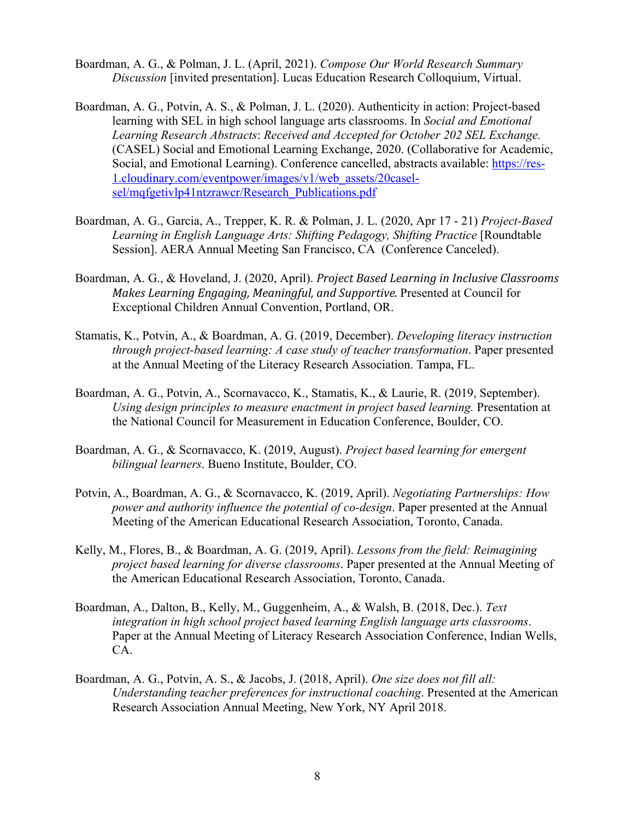- Boardman, A. G., & Polman, J. L. (April, 2021). *Compose Our World Research Summary Discussion* [invited presentation]. Lucas Education Research Colloquium, Virtual.
- Boardman, A. G., Potvin, A. S., & Polman, J. L. (2020). Authenticity in action: Project-based learning with SEL in high school language arts classrooms. In *Social and Emotional Learning Research Abstracts*: *Received and Accepted for October 202 SEL Exchange.*  (CASEL) Social and Emotional Learning Exchange, 2020. (Collaborative for Academic, Social, and Emotional Learning). Conference cancelled, abstracts available: https://res-1.cloudinary.com/eventpower/images/v1/web\_assets/20caselsel/mqfgetivlp41ntzrawcr/Research\_Publications.pdf
- Boardman, A. G., Garcia, A., Trepper, K. R. & Polman, J. L. (2020, Apr 17 21) *Project-Based Learning in English Language Arts: Shifting Pedagogy, Shifting Practice* [Roundtable Session]. AERA Annual Meeting San Francisco, CA (Conference Canceled).
- Boardman, A. G., & Hoveland, J. (2020, April). *Project Based Learning in Inclusive Classrooms Makes Learning Engaging, Meaningful, and Supportive.* Presented at Council for Exceptional Children Annual Convention, Portland, OR.
- Stamatis, K., Potvin, A., & Boardman, A. G. (2019, December). *Developing literacy instruction through project-based learning: A case study of teacher transformation*. Paper presented at the Annual Meeting of the Literacy Research Association. Tampa, FL.
- Boardman, A. G., Potvin, A., Scornavacco, K., Stamatis, K., & Laurie, R. (2019, September). *Using design principles to measure enactment in project based learning.* Presentation at the National Council for Measurement in Education Conference, Boulder, CO.
- Boardman, A. G., & Scornavacco, K. (2019, August). *Project based learning for emergent bilingual learners*. Bueno Institute, Boulder, CO.
- Potvin, A., Boardman, A. G., & Scornavacco, K. (2019, April). *Negotiating Partnerships: How power and authority influence the potential of co-design*. Paper presented at the Annual Meeting of the American Educational Research Association, Toronto, Canada.
- Kelly, M., Flores, B., & Boardman, A. G. (2019, April). *Lessons from the field: Reimagining project based learning for diverse classrooms*. Paper presented at the Annual Meeting of the American Educational Research Association, Toronto, Canada.
- Boardman, A., Dalton, B., Kelly, M., Guggenheim, A., & Walsh, B. (2018, Dec.). *Text integration in high school project based learning English language arts classrooms*. Paper at the Annual Meeting of Literacy Research Association Conference, Indian Wells, CA.
- Boardman, A. G., Potvin, A. S., & Jacobs, J. (2018, April). *One size does not fill all: Understanding teacher preferences for instructional coaching*. Presented at the American Research Association Annual Meeting, New York, NY April 2018.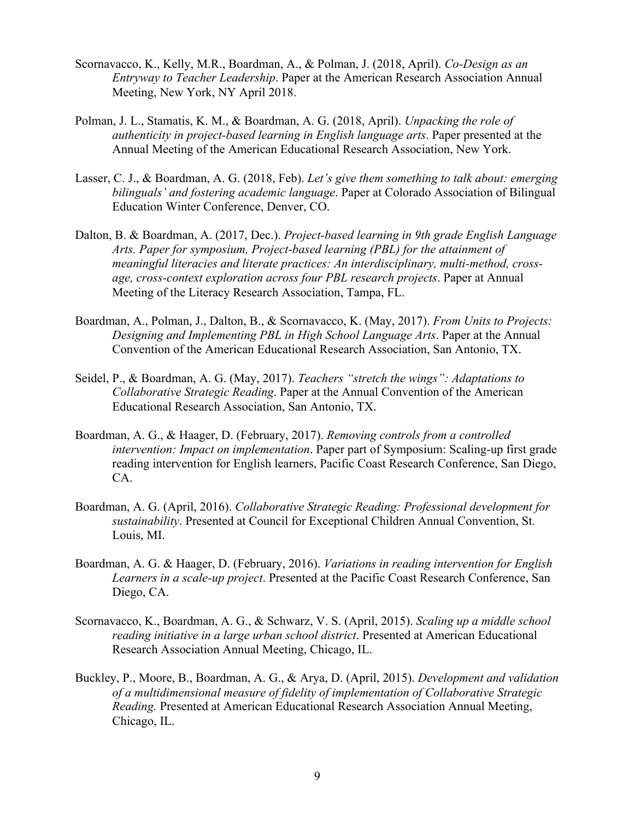- Scornavacco, K., Kelly, M.R., Boardman, A., & Polman, J. (2018, April). *Co-Design as an Entryway to Teacher Leadership*. Paper at the American Research Association Annual Meeting, New York, NY April 2018.
- Polman, J. L., Stamatis, K. M., & Boardman, A. G. (2018, April). *Unpacking the role of authenticity in project-based learning in English language arts*. Paper presented at the Annual Meeting of the American Educational Research Association, New York.
- Lasser, C. J., & Boardman, A. G. (2018, Feb). *Let's give them something to talk about: emerging bilinguals' and fostering academic language*. Paper at Colorado Association of Bilingual Education Winter Conference, Denver, CO.
- Dalton, B. & Boardman, A. (2017, Dec.). *Project-based learning in 9th grade English Language Arts. Paper for symposium, Project-based learning (PBL) for the attainment of meaningful literacies and literate practices: An interdisciplinary, multi-method, crossage, cross-context exploration across four PBL research projects*. Paper at Annual Meeting of the Literacy Research Association, Tampa, FL.
- Boardman, A., Polman, J., Dalton, B., & Scornavacco, K. (May, 2017). *From Units to Projects: Designing and Implementing PBL in High School Language Arts*. Paper at the Annual Convention of the American Educational Research Association, San Antonio, TX.
- Seidel, P., & Boardman, A. G. (May, 2017). *Teachers "stretch the wings": Adaptations to Collaborative Strategic Reading*. Paper at the Annual Convention of the American Educational Research Association, San Antonio, TX.
- Boardman, A. G., & Haager, D. (February, 2017). *Removing controls from a controlled intervention: Impact on implementation*. Paper part of Symposium: Scaling-up first grade reading intervention for English learners, Pacific Coast Research Conference, San Diego, CA.
- Boardman, A. G. (April, 2016). *Collaborative Strategic Reading: Professional development for sustainability*. Presented at Council for Exceptional Children Annual Convention, St. Louis, MI.
- Boardman, A. G. & Haager, D. (February, 2016). *Variations in reading intervention for English Learners in a scale-up project*. Presented at the Pacific Coast Research Conference, San Diego, CA.
- Scornavacco, K., Boardman, A. G., & Schwarz, V. S. (April, 2015). *Scaling up a middle school reading initiative in a large urban school district*. Presented at American Educational Research Association Annual Meeting, Chicago, IL.
- Buckley, P., Moore, B., Boardman, A. G., & Arya, D. (April, 2015). *Development and validation of a multidimensional measure of fidelity of implementation of Collaborative Strategic Reading.* Presented at American Educational Research Association Annual Meeting, Chicago, IL.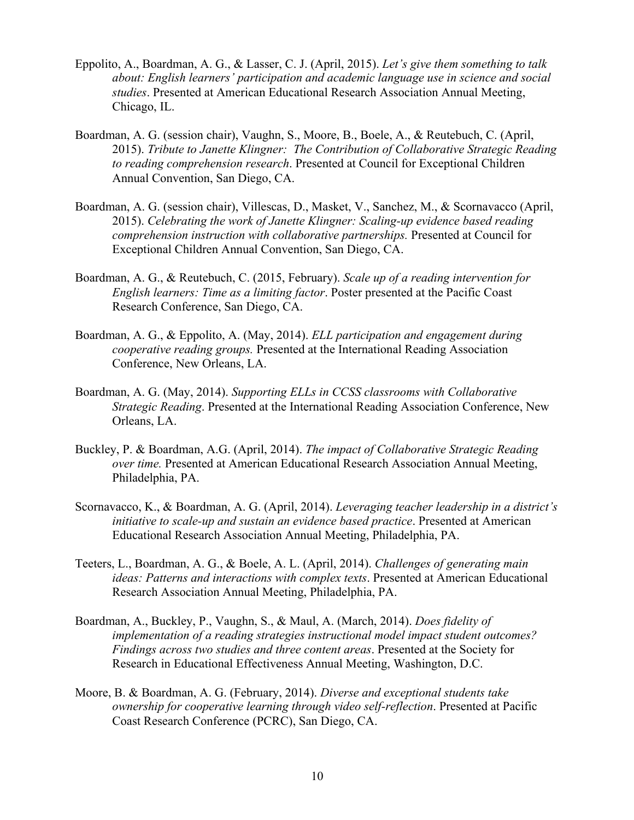- Eppolito, A., Boardman, A. G., & Lasser, C. J. (April, 2015). *Let's give them something to talk about: English learners' participation and academic language use in science and social studies*. Presented at American Educational Research Association Annual Meeting, Chicago, IL.
- Boardman, A. G. (session chair), Vaughn, S., Moore, B., Boele, A., & Reutebuch, C. (April, 2015). *Tribute to Janette Klingner: The Contribution of Collaborative Strategic Reading to reading comprehension research*. Presented at Council for Exceptional Children Annual Convention, San Diego, CA.
- Boardman, A. G. (session chair), Villescas, D., Masket, V., Sanchez, M., & Scornavacco (April, 2015). *Celebrating the work of Janette Klingner: Scaling-up evidence based reading comprehension instruction with collaborative partnerships.* Presented at Council for Exceptional Children Annual Convention, San Diego, CA.
- Boardman, A. G., & Reutebuch, C. (2015, February). *Scale up of a reading intervention for English learners: Time as a limiting factor*. Poster presented at the Pacific Coast Research Conference, San Diego, CA.
- Boardman, A. G., & Eppolito, A. (May, 2014). *ELL participation and engagement during cooperative reading groups.* Presented at the International Reading Association Conference, New Orleans, LA.
- Boardman, A. G. (May, 2014). *Supporting ELLs in CCSS classrooms with Collaborative Strategic Reading*. Presented at the International Reading Association Conference, New Orleans, LA.
- Buckley, P. & Boardman, A.G. (April, 2014). *The impact of Collaborative Strategic Reading over time.* Presented at American Educational Research Association Annual Meeting, Philadelphia, PA.
- Scornavacco, K., & Boardman, A. G. (April, 2014). *Leveraging teacher leadership in a district's initiative to scale-up and sustain an evidence based practice*. Presented at American Educational Research Association Annual Meeting, Philadelphia, PA.
- Teeters, L., Boardman, A. G., & Boele, A. L. (April, 2014). *Challenges of generating main ideas: Patterns and interactions with complex texts*. Presented at American Educational Research Association Annual Meeting, Philadelphia, PA.
- Boardman, A., Buckley, P., Vaughn, S., & Maul, A. (March, 2014). *Does fidelity of implementation of a reading strategies instructional model impact student outcomes? Findings across two studies and three content areas*. Presented at the Society for Research in Educational Effectiveness Annual Meeting, Washington, D.C.
- Moore, B. & Boardman, A. G. (February, 2014). *Diverse and exceptional students take ownership for cooperative learning through video self-reflection*. Presented at Pacific Coast Research Conference (PCRC), San Diego, CA.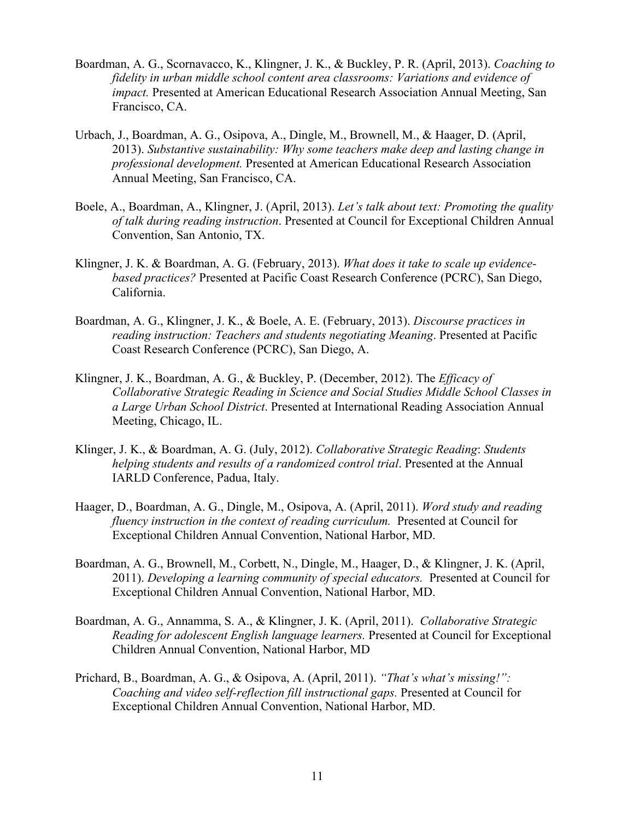- Boardman, A. G., Scornavacco, K., Klingner, J. K., & Buckley, P. R. (April, 2013). *Coaching to fidelity in urban middle school content area classrooms: Variations and evidence of impact.* Presented at American Educational Research Association Annual Meeting, San Francisco, CA.
- Urbach, J., Boardman, A. G., Osipova, A., Dingle, M., Brownell, M., & Haager, D. (April, 2013). *Substantive sustainability: Why some teachers make deep and lasting change in professional development.* Presented at American Educational Research Association Annual Meeting, San Francisco, CA.
- Boele, A., Boardman, A., Klingner, J. (April, 2013). *Let's talk about text: Promoting the quality of talk during reading instruction*. Presented at Council for Exceptional Children Annual Convention, San Antonio, TX.
- Klingner, J. K. & Boardman, A. G. (February, 2013). *What does it take to scale up evidencebased practices?* Presented at Pacific Coast Research Conference (PCRC), San Diego, California.
- Boardman, A. G., Klingner, J. K., & Boele, A. E. (February, 2013). *Discourse practices in reading instruction: Teachers and students negotiating Meaning*. Presented at Pacific Coast Research Conference (PCRC), San Diego, A.
- Klingner, J. K., Boardman, A. G., & Buckley, P. (December, 2012). The *Efficacy of Collaborative Strategic Reading in Science and Social Studies Middle School Classes in a Large Urban School District*. Presented at International Reading Association Annual Meeting, Chicago, IL.
- Klinger, J. K., & Boardman, A. G. (July, 2012). *Collaborative Strategic Reading*: *Students helping students and results of a randomized control trial*. Presented at the Annual IARLD Conference, Padua, Italy.
- Haager, D., Boardman, A. G., Dingle, M., Osipova, A. (April, 2011). *Word study and reading fluency instruction in the context of reading curriculum.* Presented at Council for Exceptional Children Annual Convention, National Harbor, MD.
- Boardman, A. G., Brownell, M., Corbett, N., Dingle, M., Haager, D., & Klingner, J. K. (April, 2011). *Developing a learning community of special educators.* Presented at Council for Exceptional Children Annual Convention, National Harbor, MD.
- Boardman, A. G., Annamma, S. A., & Klingner, J. K. (April, 2011). *Collaborative Strategic Reading for adolescent English language learners.* Presented at Council for Exceptional Children Annual Convention, National Harbor, MD
- Prichard, B., Boardman, A. G., & Osipova, A. (April, 2011). *"That's what's missing!": Coaching and video self-reflection fill instructional gaps.* Presented at Council for Exceptional Children Annual Convention, National Harbor, MD.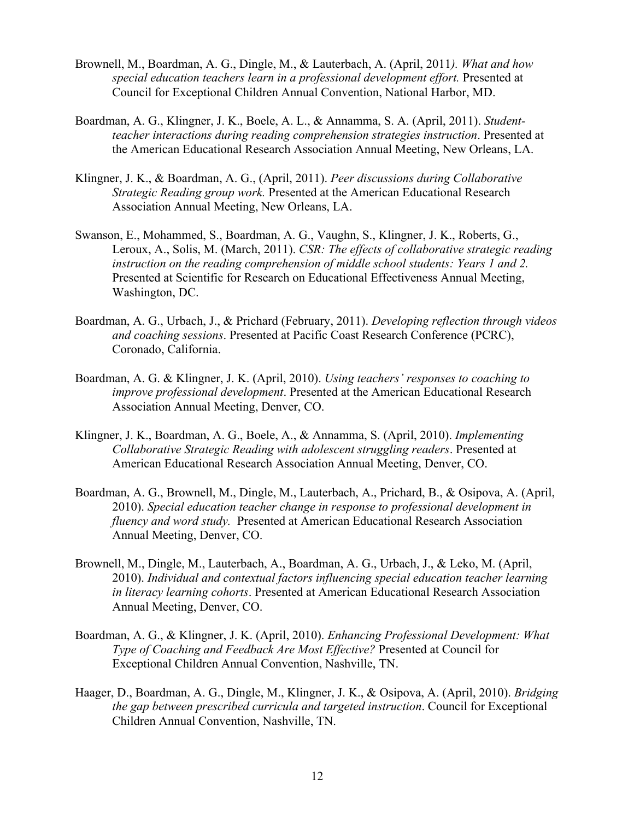- Brownell, M., Boardman, A. G., Dingle, M., & Lauterbach, A. (April, 2011*). What and how special education teachers learn in a professional development effort.* Presented at Council for Exceptional Children Annual Convention, National Harbor, MD.
- Boardman, A. G., Klingner, J. K., Boele, A. L., & Annamma, S. A. (April, 2011). *Studentteacher interactions during reading comprehension strategies instruction*. Presented at the American Educational Research Association Annual Meeting, New Orleans, LA.
- Klingner, J. K., & Boardman, A. G., (April, 2011). *Peer discussions during Collaborative Strategic Reading group work.* Presented at the American Educational Research Association Annual Meeting, New Orleans, LA.
- Swanson, E., Mohammed, S., Boardman, A. G., Vaughn, S., Klingner, J. K., Roberts, G., Leroux, A., Solis, M. (March, 2011). *CSR: The effects of collaborative strategic reading instruction on the reading comprehension of middle school students: Years 1 and 2.* Presented at Scientific for Research on Educational Effectiveness Annual Meeting, Washington, DC.
- Boardman, A. G., Urbach, J., & Prichard (February, 2011). *Developing reflection through videos and coaching sessions*. Presented at Pacific Coast Research Conference (PCRC), Coronado, California.
- Boardman, A. G. & Klingner, J. K. (April, 2010). *Using teachers' responses to coaching to improve professional development*. Presented at the American Educational Research Association Annual Meeting, Denver, CO.
- Klingner, J. K., Boardman, A. G., Boele, A., & Annamma, S. (April, 2010). *Implementing Collaborative Strategic Reading with adolescent struggling readers*. Presented at American Educational Research Association Annual Meeting, Denver, CO.
- Boardman, A. G., Brownell, M., Dingle, M., Lauterbach, A., Prichard, B., & Osipova, A. (April, 2010). *Special education teacher change in response to professional development in fluency and word study.* Presented at American Educational Research Association Annual Meeting, Denver, CO.
- Brownell, M., Dingle, M., Lauterbach, A., Boardman, A. G., Urbach, J., & Leko, M. (April, 2010). *Individual and contextual factors influencing special education teacher learning in literacy learning cohorts*. Presented at American Educational Research Association Annual Meeting, Denver, CO.
- Boardman, A. G., & Klingner, J. K. (April, 2010). *Enhancing Professional Development: What Type of Coaching and Feedback Are Most Effective?* Presented at Council for Exceptional Children Annual Convention, Nashville, TN.
- Haager, D., Boardman, A. G., Dingle, M., Klingner, J. K., & Osipova, A. (April, 2010). *Bridging the gap between prescribed curricula and targeted instruction*. Council for Exceptional Children Annual Convention, Nashville, TN.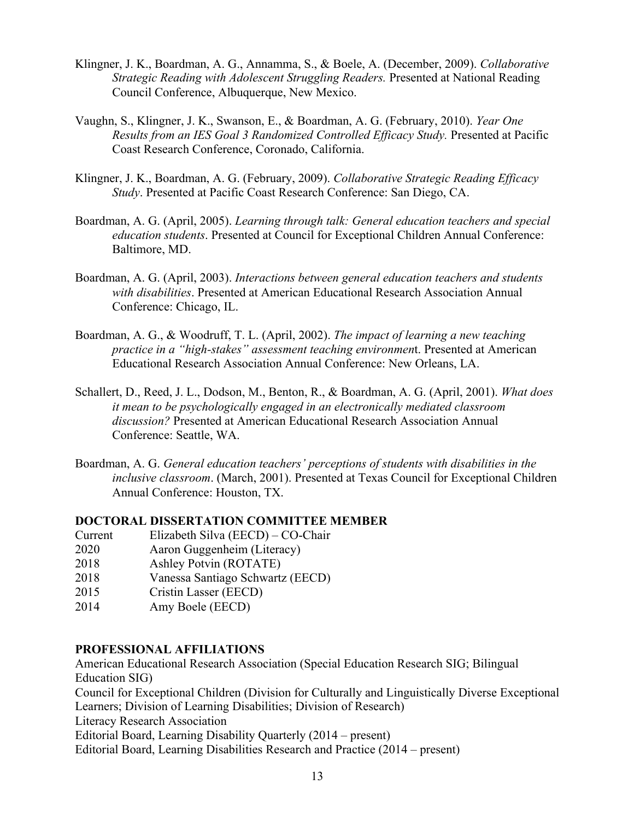- Klingner, J. K., Boardman, A. G., Annamma, S., & Boele, A. (December, 2009). *Collaborative Strategic Reading with Adolescent Struggling Readers.* Presented at National Reading Council Conference, Albuquerque, New Mexico.
- Vaughn, S., Klingner, J. K., Swanson, E., & Boardman, A. G. (February, 2010). *Year One Results from an IES Goal 3 Randomized Controlled Efficacy Study.* Presented at Pacific Coast Research Conference, Coronado, California.
- Klingner, J. K., Boardman, A. G. (February, 2009). *Collaborative Strategic Reading Efficacy Study*. Presented at Pacific Coast Research Conference: San Diego, CA.
- Boardman, A. G. (April, 2005). *Learning through talk: General education teachers and special education students*. Presented at Council for Exceptional Children Annual Conference: Baltimore, MD.
- Boardman, A. G. (April, 2003). *Interactions between general education teachers and students with disabilities*. Presented at American Educational Research Association Annual Conference: Chicago, IL.
- Boardman, A. G., & Woodruff, T. L. (April, 2002). *The impact of learning a new teaching practice in a "high-stakes" assessment teaching environmen*t. Presented at American Educational Research Association Annual Conference: New Orleans, LA.
- Schallert, D., Reed, J. L., Dodson, M., Benton, R., & Boardman, A. G. (April, 2001). *What does it mean to be psychologically engaged in an electronically mediated classroom discussion?* Presented at American Educational Research Association Annual Conference: Seattle, WA.
- Boardman, A. G. *General education teachers' perceptions of students with disabilities in the inclusive classroom*. (March, 2001). Presented at Texas Council for Exceptional Children Annual Conference: Houston, TX.

### **DOCTORAL DISSERTATION COMMITTEE MEMBER**

- Current Elizabeth Silva (EECD) CO-Chair
- 2020 Aaron Guggenheim (Literacy)
- 2018 Ashley Potvin (ROTATE)
- 2018 Vanessa Santiago Schwartz (EECD)
- 2015 Cristin Lasser (EECD)
- 2014 Amy Boele (EECD)

### **PROFESSIONAL AFFILIATIONS**

American Educational Research Association (Special Education Research SIG; Bilingual Education SIG) Council for Exceptional Children (Division for Culturally and Linguistically Diverse Exceptional Learners; Division of Learning Disabilities; Division of Research) Literacy Research Association Editorial Board, Learning Disability Quarterly (2014 – present) Editorial Board, Learning Disabilities Research and Practice (2014 – present)